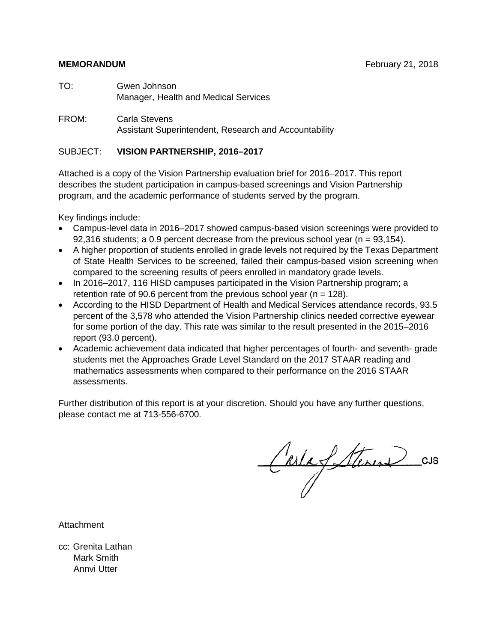# **MEMORANDUM February 21, 2018**

- TO: Gwen Johnson Manager, Health and Medical Services
- FROM: Carla Stevens Assistant Superintendent, Research and Accountability

# SUBJECT: **VISION PARTNERSHIP, 2016–2017**

Attached is a copy of the Vision Partnership evaluation brief for 2016–2017. This report describes the student participation in campus-based screenings and Vision Partnership program, and the academic performance of students served by the program.

Key findings include:

- Campus-level data in 2016–2017 showed campus-based vision screenings were provided to 92,316 students; a 0.9 percent decrease from the previous school year ( $n = 93,154$ ).
- A higher proportion of students enrolled in grade levels not required by the Texas Department of State Health Services to be screened, failed their campus-based vision screening when compared to the screening results of peers enrolled in mandatory grade levels.
- In 2016–2017, 116 HISD campuses participated in the Vision Partnership program; a retention rate of 90.6 percent from the previous school year ( $n = 128$ ).
- According to the HISD Department of Health and Medical Services attendance records, 93.5 percent of the 3,578 who attended the Vision Partnership clinics needed corrective eyewear for some portion of the day. This rate was similar to the result presented in the 2015–2016 report (93.0 percent).
- Academic achievement data indicated that higher percentages of fourth- and seventh- grade students met the Approaches Grade Level Standard on the 2017 STAAR reading and mathematics assessments when compared to their performance on the 2016 STAAR assessments.

Further distribution of this report is at your discretion. Should you have any further questions, please contact me at 713-556-6700.

CarlafSteren

Attachment

cc: Grenita Lathan Mark Smith Annvi Utter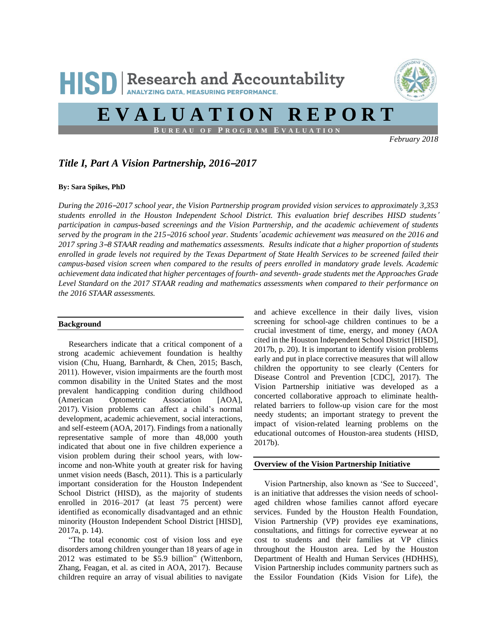

# *Title I, Part A Vision Partnership, 2016*–*2017*

### **By: Sara Spikes, PhD**

*During the 2016*–*2017 school year, the Vision Partnership program provided vision services to approximately 3,353 students enrolled in the Houston Independent School District. This evaluation brief describes HISD students*' *participation in campus-based screenings and the Vision Partnership, and the academic achievement of students served by the program in the 215*–*2016 school year. Students*' *academic achievement was measured on the 2016 and 2017 spring 3*–*8 STAAR reading and mathematics assessments. Results indicate that a higher proportion of students enrolled in grade levels not required by the Texas Department of State Health Services to be screened failed their campus-based vision screen when compared to the results of peers enrolled in mandatory grade levels. Academic achievement data indicated that higher percentages of fourth- and seventh- grade students met the Approaches Grade Level Standard on the 2017 STAAR reading and mathematics assessments when compared to their performance on the 2016 STAAR assessments.* 

## **Background**

 Researchers indicate that a critical component of a strong academic achievement foundation is healthy vision (Chu, Huang, Barnhardt, & Chen, 2015; Basch, 2011). However, vision impairments are the fourth most common disability in the United States and the most prevalent handicapping condition during childhood (American Optometric Association [AOA], 2017). Vision problems can affect a child's normal development, academic achievement, social interactions, and self-esteem (AOA, 2017). Findings from a nationally representative sample of more than 48,000 youth indicated that about one in five children experience a vision problem during their school years, with lowincome and non-White youth at greater risk for having unmet vision needs (Basch, 2011). This is a particularly important consideration for the Houston Independent School District (HISD), as the majority of students enrolled in 2016–2017 (at least 75 percent) were identified as economically disadvantaged and an ethnic minority (Houston Independent School District [HISD], 2017a, p. 14).

 "The total economic cost of vision loss and eye disorders among children younger than 18 years of age in 2012 was estimated to be \$5.9 billion" (Wittenborn, Zhang, Feagan, et al. as cited in AOA, 2017). Because children require an array of visual abilities to navigate and achieve excellence in their daily lives, vision screening for school-age children continues to be a crucial investment of time, energy, and money (AOA cited in the Houston Independent School District [HISD], 2017b, p. 20). It is important to identify vision problems early and put in place corrective measures that will allow children the opportunity to see clearly (Centers for Disease Control and Prevention [CDC], 2017). The Vision Partnership initiative was developed as a concerted collaborative approach to eliminate healthrelated barriers to follow-up vision care for the most needy students; an important strategy to prevent the impact of vision-related learning problems on the educational outcomes of Houston-area students (HISD, 2017b).

# **Overview of the Vision Partnership Initiative**

 Vision Partnership, also known as 'See to Succeed', is an initiative that addresses the vision needs of schoolaged children whose families cannot afford eyecare services. Funded by the Houston Health Foundation, Vision Partnership (VP) provides eye examinations, consultations, and fittings for corrective eyewear at no cost to students and their families at VP clinics throughout the Houston area. Led by the Houston Department of Health and Human Services (HDHHS), Vision Partnership includes community partners such as the Essilor Foundation (Kids Vision for Life), the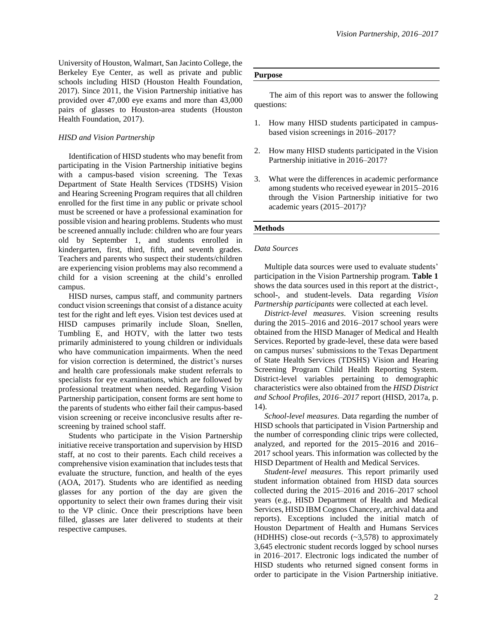University of Houston, Walmart, San Jacinto College, the Berkeley Eye Center, as well as private and public schools including HISD (Houston Health Foundation, 2017). Since 2011, the Vision Partnership initiative has provided over 47,000 eye exams and more than 43,000 pairs of glasses to Houston-area students (Houston Health Foundation, 2017).

# *HISD and Vision Partnership*

 Identification of HISD students who may benefit from participating in the Vision Partnership initiative begins with a campus-based vision screening. The Texas Department of State Health Services (TDSHS) Vision and Hearing Screening Program requires that all children enrolled for the first time in any public or private school must be screened or have a professional examination for possible vision and hearing problems. Students who must be screened annually include: children who are four years old by September 1, and students enrolled in kindergarten, first, third, fifth, and seventh grades. Teachers and parents who suspect their students/children are experiencing vision problems may also recommend a child for a vision screening at the child's enrolled campus.

 HISD nurses, campus staff, and community partners conduct vision screenings that consist of a distance acuity test for the right and left eyes. Vision test devices used at HISD campuses primarily include Sloan, Snellen, Tumbling E, and HOTV, with the latter two tests primarily administered to young children or individuals who have communication impairments. When the need for vision correction is determined, the district's nurses and health care professionals make student referrals to specialists for eye examinations, which are followed by professional treatment when needed. Regarding Vision Partnership participation, consent forms are sent home to the parents of students who either fail their campus-based vision screening or receive inconclusive results after rescreening by trained school staff.

 Students who participate in the Vision Partnership initiative receive transportation and supervision by HISD staff, at no cost to their parents. Each child receives a comprehensive vision examination that includes tests that evaluate the structure, function, and health of the eyes (AOA, 2017). Students who are identified as needing glasses for any portion of the day are given the opportunity to select their own frames during their visit to the VP clinic. Once their prescriptions have been filled, glasses are later delivered to students at their respective campuses.

# **Purpose**

 The aim of this report was to answer the following questions:

- 1. How many HISD students participated in campusbased vision screenings in 2016–2017?
- 2. How many HISD students participated in the Vision Partnership initiative in 2016–2017?
- 3. What were the differences in academic performance among students who received eyewear in 2015–2016 through the Vision Partnership initiative for two academic years (2015–2017)?

# **Methods**

# *Data Sources*

 Multiple data sources were used to evaluate students' participation in the Vision Partnership program. **Table 1** shows the data sources used in this report at the district-, school-, and student-levels. Data regarding *Vision Partnership participants* were collected at each level.

 *District-level measures*. Vision screening results during the 2015–2016 and 2016–2017 school years were obtained from the HISD Manager of Medical and Health Services. Reported by grade-level, these data were based on campus nurses' submissions to the Texas Department of State Health Services (TDSHS) Vision and Hearing Screening Program Child Health Reporting System. District-level variables pertaining to demographic characteristics were also obtained from the *HISD District and School Profiles, 2016–2017* report (HISD, 2017a, p. 14).

 *School-level measures*. Data regarding the number of HISD schools that participated in Vision Partnership and the number of corresponding clinic trips were collected, analyzed, and reported for the 2015–2016 and 2016– 2017 school years. This information was collected by the HISD Department of Health and Medical Services.

 *Student-level measures*. This report primarily used student information obtained from HISD data sources collected during the 2015–2016 and 2016–2017 school years (e.g., HISD Department of Health and Medical Services, HISD IBM Cognos Chancery, archival data and reports). Exceptions included the initial match of Houston Department of Health and Humans Services (HDHHS) close-out records (~3,578) to approximately 3,645 electronic student records logged by school nurses in 2016–2017. Electronic logs indicated the number of HISD students who returned signed consent forms in order to participate in the Vision Partnership initiative.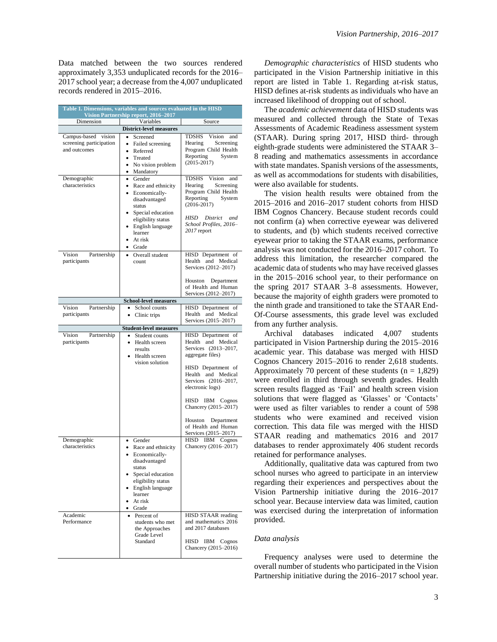Data matched between the two sources rendered approximately 3,353 unduplicated records for the 2016– 2017 school year; a decrease from the 4,007 unduplicated records rendered in 2015–2016.

| Table 1. Dimensions, variables and sources evaluated in the HISD<br>Vision Partnership report, 2016-2017 |                                                                                                                                                                                                                                                              |                                                                                                                                                                                                                                                                                                                 |  |  |  |
|----------------------------------------------------------------------------------------------------------|--------------------------------------------------------------------------------------------------------------------------------------------------------------------------------------------------------------------------------------------------------------|-----------------------------------------------------------------------------------------------------------------------------------------------------------------------------------------------------------------------------------------------------------------------------------------------------------------|--|--|--|
| Dimension                                                                                                | Variables                                                                                                                                                                                                                                                    | Source                                                                                                                                                                                                                                                                                                          |  |  |  |
|                                                                                                          | <b>District-level measures</b>                                                                                                                                                                                                                               |                                                                                                                                                                                                                                                                                                                 |  |  |  |
| Campus-based vision<br>screening participation<br>and outcomes                                           | Screened<br>Failed screening<br>$\bullet$<br>Referred<br>$\bullet$<br>Treated<br>$\bullet$<br>• No vision problem<br>• Mandatory                                                                                                                             | TDSHS<br>Vision<br>and<br>Hearing<br>Screening<br>Program Child Health<br>Reporting<br>System<br>$(2015 - 2017)$                                                                                                                                                                                                |  |  |  |
| Demographic<br>characteristics                                                                           | • Gender<br>• Race and ethnicity<br>Economically-<br>$\bullet$<br>disadvantaged<br>status<br>Special education<br>$\bullet$<br>eligibility status<br>English language<br>learner<br>At risk<br>• Grade                                                       | TDSHS Vision<br>and<br>Hearing<br>Screening<br>Program Child Health<br>Reporting<br>System<br>$(2016 - 2017)$<br>HISD<br>District<br>and<br>School Profiles, 2016-<br>2017 report                                                                                                                               |  |  |  |
| Partnership<br>Vision<br>participants                                                                    | Overall student<br>$\bullet$<br>count                                                                                                                                                                                                                        | HISD Department of<br>Health and Medical<br>Services (2012-2017)<br>Houston<br>Department<br>of Health and Human<br>Services (2012-2017)                                                                                                                                                                        |  |  |  |
|                                                                                                          | <b>School-level measures</b>                                                                                                                                                                                                                                 |                                                                                                                                                                                                                                                                                                                 |  |  |  |
| Partnership<br>Vision<br>participants                                                                    | School counts<br>$\bullet$<br>Clinic trips<br>$\bullet$                                                                                                                                                                                                      | HISD Department of<br>Health and Medical<br>Services (2015-2017)                                                                                                                                                                                                                                                |  |  |  |
|                                                                                                          | <b>Student-level measures</b>                                                                                                                                                                                                                                |                                                                                                                                                                                                                                                                                                                 |  |  |  |
| Partnership<br>Vision<br>participants<br>Demographic                                                     | Student counts<br>$\bullet$<br>Health screen<br>results<br>Health screen<br>vision solution<br>Gender<br>$\bullet$                                                                                                                                           | HISD Department of<br>Health and Medical<br>Services (2013-2017,<br>aggregate files)<br>HISD Department of<br>Health and Medical<br>Services (2016-2017,<br>electronic logs)<br>HISD IBM Cognos<br>Chancery (2015-2017)<br>Houston Department<br>of Health and Human<br>Services (2015-2017)<br>HISD IBM Cognos |  |  |  |
| characteristics<br>Academic<br>Performance                                                               | Race and ethnicity<br>$\bullet$<br>Economically-<br>disadvantaged<br>status<br>Special education<br>eligibility status<br>English language<br>learner<br>At risk<br>• Grade<br>• Percent of<br>students who met<br>the Approaches<br>Grade Level<br>Standard | Chancery (2016-2017)<br>HISD STAAR reading<br>and mathematics 2016<br>and 2017 databases<br>HISD<br>IBM Cognos<br>Chancery (2015–2016)                                                                                                                                                                          |  |  |  |

 *Demographic characteristics* of HISD students who participated in the Vision Partnership initiative in this report are listed in Table 1. Regarding at-risk status, HISD defines at-risk students as individuals who have an increased likelihood of dropping out of school.

 The *academic achievement* data of HISD students was measured and collected through the State of Texas Assessments of Academic Readiness assessment system (STAAR). During spring 2017, HISD third- through eighth-grade students were administered the STAAR 3– 8 reading and mathematics assessments in accordance with state mandates. Spanish versions of the assessments, as well as accommodations for students with disabilities, were also available for students.

 The vision health results were obtained from the 2015–2016 and 2016–2017 student cohorts from HISD IBM Cognos Chancery. Because student records could not confirm (a) when corrective eyewear was delivered to students, and (b) which students received corrective eyewear prior to taking the STAAR exams, performance analysis was not conducted for the 2016–2017 cohort. To address this limitation, the researcher compared the academic data of students who may have received glasses in the 2015–2016 school year, to their performance on the spring 2017 STAAR 3–8 assessments. However, because the majority of eighth graders were promoted to the ninth grade and transitioned to take the STAAR End-Of-Course assessments, this grade level was excluded from any further analysis.

 Archival databases indicated 4,007 students participated in Vision Partnership during the 2015–2016 academic year. This database was merged with HISD Cognos Chancery 2015–2016 to render 2,618 students. Approximately 70 percent of these students  $(n = 1,829)$ were enrolled in third through seventh grades. Health screen results flagged as 'Fail' and health screen vision solutions that were flagged as 'Glasses' or 'Contacts' were used as filter variables to render a count of 598 students who were examined and received vision correction. This data file was merged with the HISD STAAR reading and mathematics 2016 and 2017 databases to render approximately 406 student records retained for performance analyses.

 Additionally, qualitative data was captured from two school nurses who agreed to participate in an interview regarding their experiences and perspectives about the Vision Partnership initiative during the 2016–2017 school year. Because interview data was limited, caution was exercised during the interpretation of information provided.

#### *Data analysis*

 Frequency analyses were used to determine the overall number of students who participated in the Vision Partnership initiative during the 2016–2017 school year.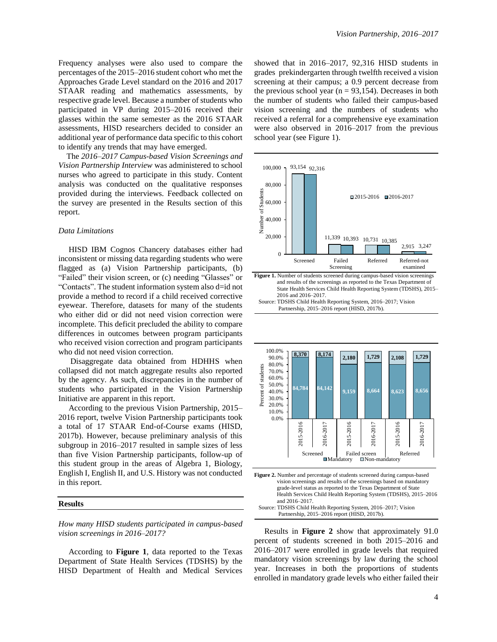Frequency analyses were also used to compare the percentages of the 2015–2016 student cohort who met the Approaches Grade Level standard on the 2016 and 2017 STAAR reading and mathematics assessments, by respective grade level. Because a number of students who participated in VP during 2015–2016 received their glasses within the same semester as the 2016 STAAR assessments, HISD researchers decided to consider an additional year of performance data specific to this cohort to identify any trends that may have emerged.

 The *2016–2017 Campus-based Vision Screenings and Vision Partnership Interview* was administered to school nurses who agreed to participate in this study. Content analysis was conducted on the qualitative responses provided during the interviews. Feedback collected on the survey are presented in the Results section of this report.

## *Data Limitations*

HISD IBM Cognos Chancery databases either had inconsistent or missing data regarding students who were flagged as (a) Vision Partnership participants, (b) "Failed" their vision screen, or (c) needing "Glasses" or "Contacts". The student information system also d=id not provide a method to record if a child received corrective eyewear. Therefore, datasets for many of the students who either did or did not need vision correction were incomplete. This deficit precluded the ability to compare differences in outcomes between program participants who received vision correction and program participants who did not need vision correction.

 Disaggregate data obtained from HDHHS when collapsed did not match aggregate results also reported by the agency. As such, discrepancies in the number of students who participated in the Vision Partnership Initiative are apparent in this report.

 According to the previous Vision Partnership, 2015– 2016 report, twelve Vision Partnership participants took a total of 17 STAAR End-of-Course exams (HISD, 2017b). However, because preliminary analysis of this subgroup in 2016–2017 resulted in sample sizes of less than five Vision Partnership participants, follow-up of this student group in the areas of Algebra 1, Biology, English I, English II, and U.S. History was not conducted in this report.

#### **Results**

*How many HISD students participated in campus-based vision screenings in 2016–2017?*

 According to **Figure 1**, data reported to the Texas Department of State Health Services (TDSHS) by the HISD Department of Health and Medical Services showed that in 2016–2017, 92,316 HISD students in grades prekindergarten through twelfth received a vision screening at their campus; a 0.9 percent decrease from the previous school year ( $n = 93,154$ ). Decreases in both the number of students who failed their campus-based vision screening and the numbers of students who received a referral for a comprehensive eye examination were also observed in 2016–2017 from the previous school year (see Figure 1).





i





 Results in **Figure 2** show that approximately 91.0 percent of students screened in both 2015–2016 and 2016–2017 were enrolled in grade levels that required mandatory vision screenings by law during the school year. Increases in both the proportions of students enrolled in mandatory grade levels who either failed their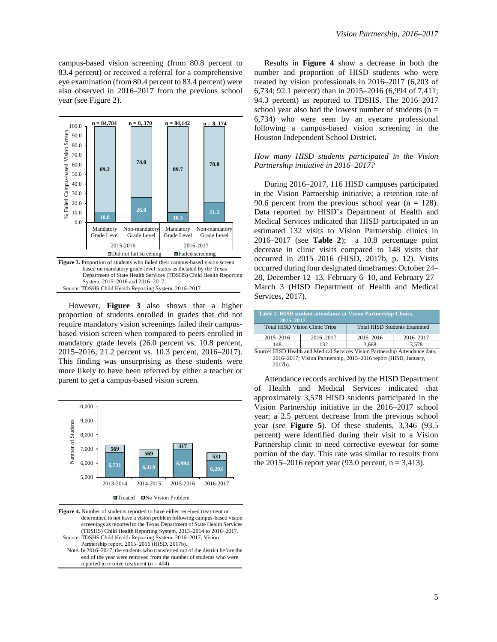campus-based vision screening (from 80.8 percent to 83.4 percent) or received a referral for a comprehensive eye examination (from 80.4 percent to 83.4 percent) were also observed in 2016–2017 from the previous school year (see Figure 2).



 However, **Figure 3** also shows that a higher proportion of students enrolled in grades that did not require mandatory vision screenings failed their campusbased vision screen when compared to peers enrolled in mandatory grade levels (26.0 percent vs. 10.8 percent, 2015–2016; 21.2 percent vs. 10.3 percent, 2016–2017). This finding was unsurprising as these students were more likely to have been referred by either a teacher or parent to get a campus-based vision screen. <sup>"</sup>



**Figure 4.** Number of students reported to have either received treatment or determined to not have a vision problem following campus-based vision screenings as reported to the Texas Department of State Health Services (TDSHS) Child Health Reporting System, 2013–2014 to 2016–2017. Source: TDSHS Child Health Reporting System, 2016–2017; Vision Partnership report, 2015–2016 (HISD, 2017b).

 Note. In 2016–2017, the students who transferred out of the district before the end of the year were removed from the number of students who were reported to receive treatment  $(n = 404)$ .

 Results in **Figure 4** show a decrease in both the number and proportion of HISD students who were treated by vision professionals in 2016–2017 (6,203 of 6,734; 92.1 percent) than in 2015–2016 (6,994 of 7,411; 94.3 percent) as reported to TDSHS. The 2016–2017 school year also had the lowest number of students ( $n =$ 6,734) who were seen by an eyecare professional following a campus-based vision screening in the Houston Independent School District.

# *How many HISD students participated in the Vision Partnership initiative in 2016–2017?*

During 2016–2017, 116 HISD campuses participated in the Vision Partnership initiative; a retention rate of 90.6 percent from the previous school year ( $n = 128$ ). Data reported by HISD's Department of Health and Medical Services indicated that HISD participated in an estimated 132 visits to Vision Partnership clinics in 2016–2017 (see **Table 2**); a 10.8 percentage point decrease in clinic visits compared to 148 visits that occurred in 2015–2016 (HISD, 2017b, p. 12). Visits occurred during four designated timeframes: October 24– 28, December 12–13, February 6–10, and February 27– March 3 (HISD Department of Health and Medical Services, 2017).

| Table 2. HISD student attendance at Vision Partnership Clinics,<br>2015-2017 |           |                                     |           |  |
|------------------------------------------------------------------------------|-----------|-------------------------------------|-----------|--|
| <b>Total HISD Vision Clinic Trips</b>                                        |           | <b>Total HISD Students Examined</b> |           |  |
| $2015 - 2016$                                                                | 2016-2017 | 2015-2016                           | 2016-2017 |  |
| 148                                                                          | 132       | 3.668                               | 3.578     |  |

Source: HISD Health and Medical Services Vision Partnership Attendance data, 2016–2017; Vision Partnership, 2015–2016 report (HISD, January, 2017b).

 Attendance records archived by the HISD Department of Health and Medical Services indicated that approximately 3,578 HISD students participated in the Vision Partnership initiative in the 2016–2017 school year; a 2.5 percent decrease from the previous school year (see **Figure 5**). Of these students, 3,346 (93.5 percent) were identified during their visit to a Vision Partnership clinic to need corrective eyewear for some portion of the day. This rate was similar to results from  $\begin{bmatrix} 6,731 \\ 6,410 \end{bmatrix}$  6,994 **6.410 6,994 the 2015–2016 report year (93.0 percent, n** = 3,413).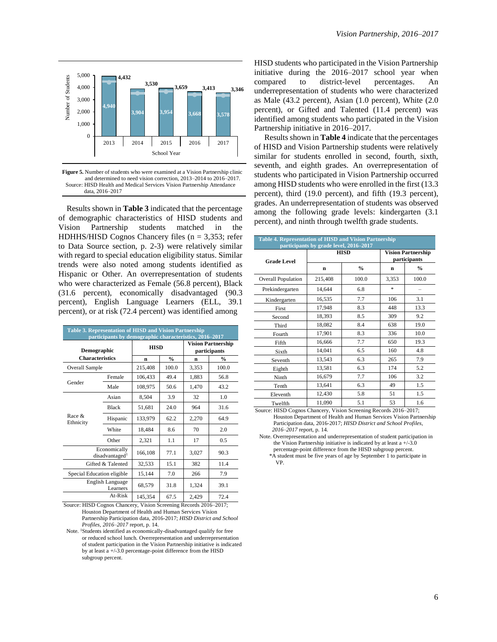

**Figure 5.** Number of students who were examined at a Vision Partnership clinic and determined to need vision correction, 2013–2014 to 2016–2017. Source: HISD Health and Medical Services Vision Partnership Attendance data, 2016–2017

 Results shown in **Table 3** indicated that the percentage of demographic characteristics of HISD students and Vision Partnership students matched in the HDHHS/HISD Cognos Chancery files ( $n = 3,353$ ; refer to Data Source section, p. 2-3) were relatively similar with regard to special education eligibility status. Similar trends were also noted among students identified as Hispanic or Other. An overrepresentation of students who were characterized as Female (56.8 percent), Black (31.6 percent), economically disadvantaged (90.3 percent), English Language Learners (ELL, 39.1 percent), or at risk (72.4 percent) was identified among

| <b>Table 3. Representation of HISD and Vision Partnership</b><br>participants by demographic characteristics, 2016–2017 |              |             |               |                                           |               |
|-------------------------------------------------------------------------------------------------------------------------|--------------|-------------|---------------|-------------------------------------------|---------------|
| Demographic<br><b>Characteristics</b>                                                                                   |              | <b>HISD</b> |               | <b>Vision Partnership</b><br>participants |               |
|                                                                                                                         |              | n           | $\frac{0}{0}$ | n                                         | $\frac{0}{0}$ |
| Overall Sample                                                                                                          |              | 215,408     | 100.0         | 3,353                                     | 100.0         |
|                                                                                                                         | Female       | 106,433     | 49.4          | 1,883                                     | 56.8          |
| Gender                                                                                                                  | Male         | 108,975     | 50.6          | 1,470                                     | 43.2          |
|                                                                                                                         | Asian        | 8,504       | 3.9           | 32                                        | 1.0           |
| Race $&$<br>Ethnicity                                                                                                   | <b>Black</b> | 51,681      | 24.0          | 964                                       | 31.6          |
|                                                                                                                         | Hispanic     | 133,979     | 62.2          | 2,270                                     | 64.9          |
|                                                                                                                         | White        | 18,484      | 8.6           | 70                                        | 2.0           |
|                                                                                                                         | Other        | 2,321       | 1.1           | 17                                        | 0.5           |
| Economically<br>disadvantaged <sup>1</sup>                                                                              |              | 166,108     | 77.1          | 3,027                                     | 90.3          |
| Gifted & Talented                                                                                                       |              | 32,533      | 15.1          | 382                                       | 11.4          |
| Special Education eligible                                                                                              |              | 15,144      | 7.0           | 266                                       | 7.9           |
| English Language<br>Learners                                                                                            |              | 68,579      | 31.8          | 1,324                                     | 39.1          |
| $At-Risk$                                                                                                               |              | 145,354     | 67.5          | 2,429                                     | 72.4          |

 Source: HISD Cognos Chancery, Vision Screening Records 2016–2017; Houston Department of Health and Human Services Vision Partnership Participation data, 2016-2017; *HISD District and School Profiles, 2016–2017* report, p. 14.

 Note. <sup>1</sup>Students identified as economically-disadvantaged qualify for free or reduced school lunch. Overrepresentation and underrepresentation of student participation in the Vision Partnership initiative is indicated by at least a +/-3.0 percentage-point difference from the HISD subgroup percent.

HISD students who participated in the Vision Partnership initiative during the 2016–2017 school year when compared to district-level percentages. An underrepresentation of students who were characterized as Male (43.2 percent), Asian (1.0 percent), White (2.0 percent), or Gifted and Talented (11.4 percent) was identified among students who participated in the Vision Partnership initiative in 2016–2017.

Results shown in **Table** 4 indicate that the percentages of HISD and Vision Partnership students were relatively similar for students enrolled in second, fourth, sixth, seventh, and eighth grades. An overrepresentation of students who participated in Vision Partnership occurred among HISD students who were enrolled in the first (13.3 percent), third (19.0 percent), and fifth (19.3 percent), grades. An underrepresentation of students was observed among the following grade levels: kindergarten (3.1 percent), and ninth through twelfth grade students.

| <b>Table 4. Representation of HISD and Vision Partnership</b><br>participants by grade level, 2016-2017 |         |               |                                           |               |  |
|---------------------------------------------------------------------------------------------------------|---------|---------------|-------------------------------------------|---------------|--|
| <b>Grade Level</b>                                                                                      |         | <b>HISD</b>   | <b>Vision Partnership</b><br>participants |               |  |
|                                                                                                         | n       | $\frac{0}{0}$ | n                                         | $\frac{6}{6}$ |  |
| <b>Overall Population</b>                                                                               | 215,408 | 100.0         | 3,353                                     | 100.0         |  |
| Prekindergarten                                                                                         | 14,644  | 6.8           | $\frac{d\mathbf{y}}{d\mathbf{x}}$         |               |  |
| Kindergarten                                                                                            | 16,535  | 7.7           | 106                                       | 3.1           |  |
| First                                                                                                   | 17,948  | 8.3           | 448                                       | 13.3          |  |
| Second                                                                                                  | 18,393  | 8.5           | 309                                       | 9.2           |  |
| Third                                                                                                   | 18,082  | 8.4           | 638                                       | 19.0          |  |
| Fourth                                                                                                  | 17,901  | 8.3           | 336                                       | 10.0          |  |
| Fifth                                                                                                   | 16,666  | 7.7           | 650                                       | 19.3          |  |
| Sixth                                                                                                   | 14,041  | 6.5           | 160                                       | 4.8           |  |
| Seventh                                                                                                 | 13,543  | 6.3           | 265                                       | 7.9           |  |
| Eighth                                                                                                  | 13,581  | 6.3           | 174                                       | 5.2           |  |
| Ninth                                                                                                   | 16,679  | 7.7           | 106                                       | 3.2           |  |
| Tenth                                                                                                   | 13,641  | 6.3           | 49                                        | 1.5           |  |
| Eleventh                                                                                                | 12,430  | 5.8           | 51                                        | 1.5           |  |
| Twelfth                                                                                                 | 11,090  | 5.1           | 53                                        | 1.6           |  |

 Source: HISD Cognos Chancery, Vision Screening Records 2016–2017; Houston Department of Health and Human Services Vision Partnership Participation data, 2016-2017; *HISD District and School Profiles, 2016–2017* report, p. 14.

 Note. Overrepresentation and underrepresentation of student participation in the Vision Partnership initiative is indicated by at least a +/-3.0 percentage-point difference from the HISD subgroup percent.

 \*A student must be five years of age by September 1 to participate in VP.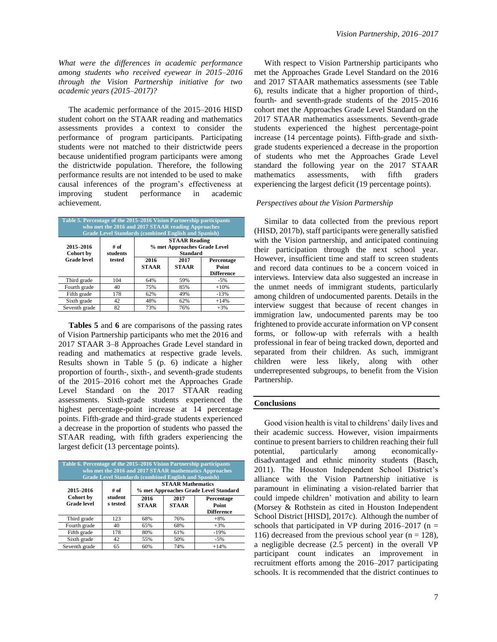*What were the differences in academic performance among students who received eyewear in 2015–2016 through the Vision Partnership initiative for two academic years (2015–2017)?*

The academic performance of the 2015–2016 HISD student cohort on the STAAR reading and mathematics assessments provides a context to consider the performance of program participants. Participating students were not matched to their districtwide peers because unidentified program participants were among the districtwide population. Therefore, the following performance results are not intended to be used to make causal inferences of the program's effectiveness at improving student performance in academic achievement.

| Table 5. Percentage of the 2015–2016 Vision Partnership participants<br>who met the 2016 and 2017 STAAR reading Approaches<br><b>Grade Level Standards (combined English and Spanish)</b> |                  |                                                                         |                      |                                          |  |
|-------------------------------------------------------------------------------------------------------------------------------------------------------------------------------------------|------------------|-------------------------------------------------------------------------|----------------------|------------------------------------------|--|
| 2015-2016<br><b>Cohort</b> by                                                                                                                                                             | # of<br>students | <b>STAAR Reading</b><br>% met Approaches Grade Level<br><b>Standard</b> |                      |                                          |  |
| <b>Grade</b> level                                                                                                                                                                        | tested           | 2016<br><b>STAAR</b>                                                    | 2017<br><b>STAAR</b> | Percentage<br>Point<br><b>Difference</b> |  |
| Third grade                                                                                                                                                                               | 104              | 64%                                                                     | 59%                  | $-5%$                                    |  |
| Fourth grade                                                                                                                                                                              | 40               | 75%                                                                     | 85%                  | $+10%$                                   |  |
| Fifth grade                                                                                                                                                                               | 178              | 62%                                                                     | 49%                  | $-13%$                                   |  |
| Sixth grade                                                                                                                                                                               | 42               | 48%                                                                     | 62%                  | $+14%$                                   |  |
| Seventh grade                                                                                                                                                                             | 82               | 73%                                                                     | 76%                  | $+3%$                                    |  |

 **Tables 5** and **6** are comparisons of the passing rates of Vision Partnership participants who met the 2016 and 2017 STAAR 3–8 Approaches Grade Level standard in reading and mathematics at respective grade levels. Results shown in Table 5 (p. 6) indicate a higher proportion of fourth-, sixth-, and seventh-grade students of the 2015–2016 cohort met the Approaches Grade Level Standard on the 2017 STAAR reading assessments. Sixth-grade students experienced the highest percentage-point increase at 14 percentage points. Fifth-grade and third-grade students experienced a decrease in the proportion of students who passed the STAAR reading, with fifth graders experiencing the largest deficit (13 percentage points).

| Table 6. Percentage of the 2015–2016 Vision Partnership participants<br>who met the 2016 and 2017 STAAR mathematics Approaches<br><b>Grade Level Standards (combined English and Spanish)</b> |                     |                                                                   |                      |                                                 |
|-----------------------------------------------------------------------------------------------------------------------------------------------------------------------------------------------|---------------------|-------------------------------------------------------------------|----------------------|-------------------------------------------------|
| 2015-2016                                                                                                                                                                                     | # of                | <b>STAAR Mathematics</b><br>% met Approaches Grade Level Standard |                      |                                                 |
| Cohort by<br><b>Grade level</b>                                                                                                                                                               | student<br>s tested | 2016<br><b>STAAR</b>                                              | 2017<br><b>STAAR</b> | Percentage<br><b>Point</b><br><b>Difference</b> |
| Third grade                                                                                                                                                                                   | 123                 | 68%                                                               | 76%                  | $+8%$                                           |
| Fourth grade                                                                                                                                                                                  | 40                  | 65%                                                               | 68%                  | $+3%$                                           |
| Fifth grade                                                                                                                                                                                   | 178                 | 80%                                                               | 61%                  | $-19%$                                          |
| Sixth grade                                                                                                                                                                                   | 42                  | 55%                                                               | 50%                  | $-5%$                                           |
| Seventh grade                                                                                                                                                                                 | 65                  | 60%                                                               | 74%                  | $+14%$                                          |

 With respect to Vision Partnership participants who met the Approaches Grade Level Standard on the 2016 and 2017 STAAR mathematics assessments (see Table 6), results indicate that a higher proportion of third-, fourth- and seventh-grade students of the 2015–2016 cohort met the Approaches Grade Level Standard on the 2017 STAAR mathematics assessments. Seventh-grade students experienced the highest percentage-point increase (14 percentage points). Fifth-grade and sixthgrade students experienced a decrease in the proportion of students who met the Approaches Grade Level standard the following year on the 2017 STAAR mathematics assessments, with fifth graders experiencing the largest deficit (19 percentage points).

### *Perspectives about the Vision Partnership*

 Similar to data collected from the previous report (HISD, 2017b), staff participants were generally satisfied with the Vision partnership, and anticipated continuing their participation through the next school year. However, insufficient time and staff to screen students and record data continues to be a concern voiced in interviews. Interview data also suggested an increase in the unmet needs of immigrant students, particularly among children of undocumented parents. Details in the interview suggest that because of recent changes in immigration law, undocumented parents may be too frightened to provide accurate information on VP consent forms, or follow-up with referrals with a health professional in fear of being tracked down, deported and separated from their children. As such, immigrant children were less likely, along with other underrepresented subgroups, to benefit from the Vision Partnership.

#### **Conclusions**

 Good vision health is vital to childrens' daily lives and their academic success. However, vision impairments continue to present barriers to children reaching their full potential, particularly among economicallydisadvantaged and ethnic minority students (Basch, 2011). The Houston Independent School District's alliance with the Vision Partnership initiative is paramount in eliminating a vision-related barrier that could impede children' motivation and ability to learn (Morsey & Rothstein as cited in Houston Independent School District [HISD], 2017c). Although the number of schools that participated in VP during  $2016-2017$  (n = 116) decreased from the previous school year ( $n = 128$ ), a negligible decrease (2.5 percent) in the overall VP participant count indicates an improvement in recruitment efforts among the 2016–2017 participating schools. It is recommended that the district continues to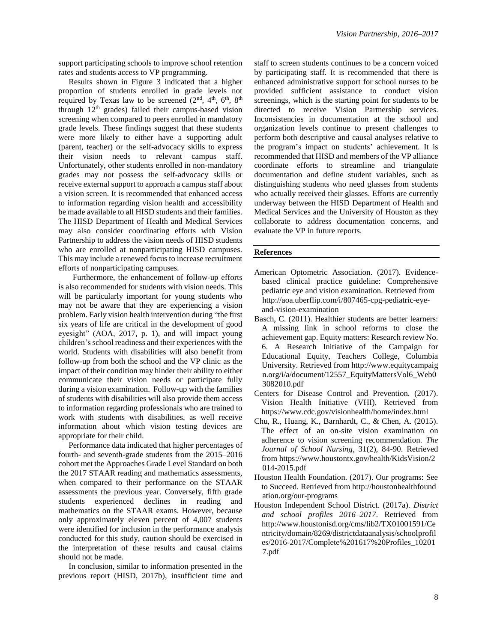support participating schools to improve school retention rates and students access to VP programming.

 Results shown in Figure 3 indicated that a higher proportion of students enrolled in grade levels not required by Texas law to be screened  $(2<sup>nd</sup>, 4<sup>th</sup>, 6<sup>th</sup>, 8<sup>th</sup>)$ through  $12<sup>th</sup>$  grades) failed their campus-based vision screening when compared to peers enrolled in mandatory grade levels. These findings suggest that these students were more likely to either have a supporting adult (parent, teacher) or the self-advocacy skills to express their vision needs to relevant campus staff. Unfortunately, other students enrolled in non-mandatory grades may not possess the self-advocacy skills or receive external support to approach a campus staff about a vision screen. It is recommended that enhanced access to information regarding vision health and accessibility be made available to all HISD students and their families. The HISD Department of Health and Medical Services may also consider coordinating efforts with Vision Partnership to address the vision needs of HISD students who are enrolled at nonparticipating HISD campuses. This may include a renewed focus to increase recruitment efforts of nonparticipating campuses.

 Furthermore, the enhancement of follow-up efforts is also recommended for students with vision needs. This will be particularly important for young students who may not be aware that they are experiencing a vision problem. Early vision health intervention during "the first six years of life are critical in the development of good eyesight" (AOA, 2017, p. 1), and will impact young children's school readiness and their experiences with the world. Students with disabilities will also benefit from follow-up from both the school and the VP clinic as the impact of their condition may hinder their ability to either communicate their vision needs or participate fully during a vision examination. Follow-up with the families of students with disabilities will also provide them access to information regarding professionals who are trained to work with students with disabilities, as well receive information about which vision testing devices are appropriate for their child.

 Performance data indicated that higher percentages of fourth- and seventh-grade students from the 2015–2016 cohort met the Approaches Grade Level Standard on both the 2017 STAAR reading and mathematics assessments, when compared to their performance on the STAAR assessments the previous year. Conversely, fifth grade students experienced declines in reading and mathematics on the STAAR exams. However, because only approximately eleven percent of 4,007 students were identified for inclusion in the performance analysis conducted for this study, caution should be exercised in the interpretation of these results and causal claims should not be made.

 In conclusion, similar to information presented in the previous report (HISD, 2017b), insufficient time and staff to screen students continues to be a concern voiced by participating staff. It is recommended that there is enhanced administrative support for school nurses to be provided sufficient assistance to conduct vision screenings, which is the starting point for students to be directed to receive Vision Partnership services. Inconsistencies in documentation at the school and organization levels continue to present challenges to perform both descriptive and causal analyses relative to the program's impact on students' achievement. It is recommended that HISD and members of the VP alliance coordinate efforts to streamline and triangulate documentation and define student variables, such as distinguishing students who need glasses from students who actually received their glasses. Efforts are currently underway between the HISD Department of Health and Medical Services and the University of Houston as they collaborate to address documentation concerns, and evaluate the VP in future reports.

# **References**

- American Optometric Association. (2017). Evidencebased clinical practice guideline: Comprehensive pediatric eye and vision examination. Retrieved from http://aoa.uberflip.com/i/807465-cpg-pediatric-eyeand-vision-examination
- Basch, C. (2011). Healthier students are better learners: A missing link in school reforms to close the achievement gap. Equity matters: Research review No. 6. A Research Initiative of the Campaign for Educational Equity, Teachers College, Columbia University. Retrieved from [http://www.equitycampaig](http://www.equitycampaig/) n.org/i/a/document/12557\_EquityMattersVol6\_Web0 3082010.pdf
- Centers for Disease Control and Prevention. (2017). Vision Health Initiative (VHI). Retrieved from https://www.cdc.gov/visionhealth/home/index.html
- Chu, R., Huang, K., Barnhardt, C., & Chen, A. (2015). The effect of an on-site vision examination on adherence to vision screening recommendation. *The Journal of School Nursing*, 31(2), 84-90. Retrieved from [https://www.houstontx.gov/health/KidsVision/](https://www.houstontx.gov/health/KidsVision)2 014-2015.pdf
- Houston Health Foundation. (2017). Our programs: See to Succeed. Retrieved from [http://houstonhealthfound](http://houstonhealthfound/) ation.org/our-programs
- Houston Independent School District. (2017a). *District and school profiles 2016–2017*. Retrieved from [http://www.houstonisd.org/cms/lib2/TX01001591/Ce](http://www.houstonisd.org/cms/lib2/TX01001591/Centricity/domain/8269/districtdataanalysis/schoolprofiles/2016-2017/Complete%201617%20Profiles_102) [ntricity/domain/8269/districtdataanalysis/schoolprofil](http://www.houstonisd.org/cms/lib2/TX01001591/Centricity/domain/8269/districtdataanalysis/schoolprofiles/2016-2017/Complete%201617%20Profiles_102) [es/2016-2017/Complete%201617%20Profiles\\_1020](http://www.houstonisd.org/cms/lib2/TX01001591/Centricity/domain/8269/districtdataanalysis/schoolprofiles/2016-2017/Complete%201617%20Profiles_102)1 7.pdf